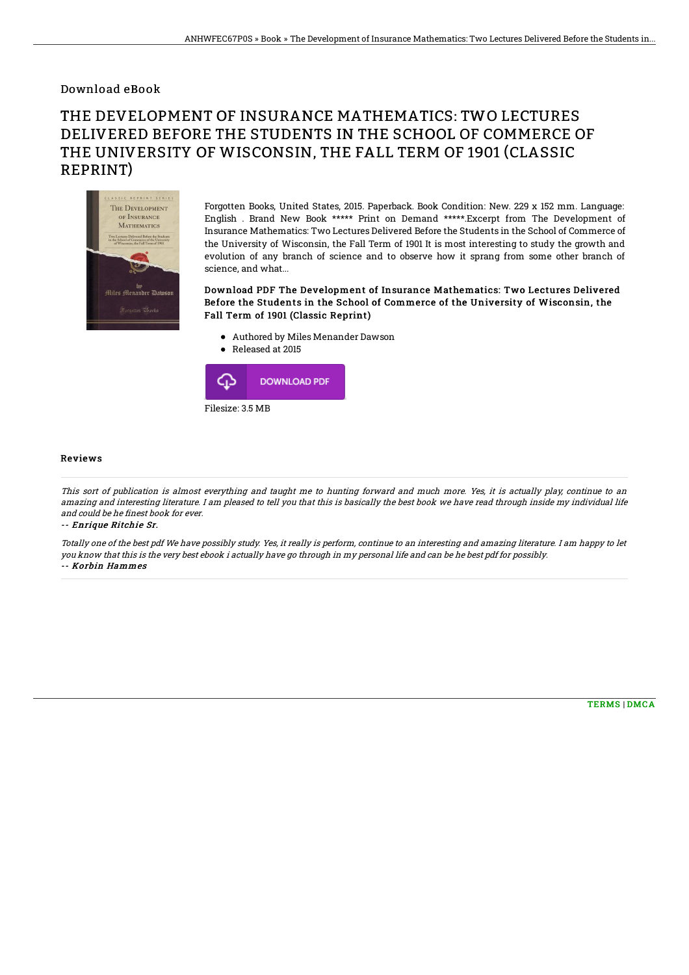### Download eBook

# THE DEVELOPMENT OF INSURANCE MATHEMATICS: TWO LECTURES DELIVERED BEFORE THE STUDENTS IN THE SCHOOL OF COMMERCE OF THE UNIVERSITY OF WISCONSIN, THE FALL TERM OF 1901 (CLASSIC REPRINT)



Forgotten Books, United States, 2015. Paperback. Book Condition: New. 229 x 152 mm. Language: English . Brand New Book \*\*\*\*\* Print on Demand \*\*\*\*\*.Excerpt from The Development of Insurance Mathematics: Two Lectures Delivered Before the Students in the School of Commerce of the University of Wisconsin, the Fall Term of 1901 It is most interesting to study the growth and evolution of any branch of science and to observe how it sprang from some other branch of science, and what...

#### Download PDF The Development of Insurance Mathematics: Two Lectures Delivered Before the Students in the School of Commerce of the University of Wisconsin, the Fall Term of 1901 (Classic Reprint)

- Authored by Miles Menander Dawson
- Released at 2015



#### Reviews

This sort of publication is almost everything and taught me to hunting forward and much more. Yes, it is actually play, continue to an amazing and interesting literature. I am pleased to tell you that this is basically the best book we have read through inside my individual life and could be he finest book for ever.

-- Enrique Ritchie Sr.

Totally one of the best pdf We have possibly study. Yes, it really is perform, continue to an interesting and amazing literature. I am happy to let you know that this is the very best ebook i actually have go through in my personal life and can be he best pdf for possibly. -- Korbin Hammes